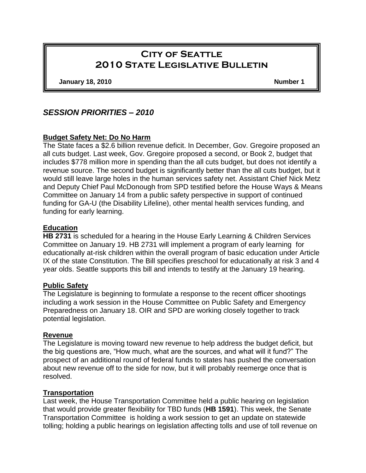# **City of Seattle 2010 State Legislative Bulletin**

**January 18, 2010 Number 1**

# *SESSION PRIORITIES – 2010*

### **Budget Safety Net: Do No Harm**

The State faces a \$2.6 billion revenue deficit. In December, Gov. Gregoire proposed an all cuts budget. Last week, Gov. Gregoire proposed a second, or Book 2, budget that includes \$778 million more in spending than the all cuts budget, but does not identify a revenue source. The second budget is significantly better than the all cuts budget, but it would still leave large holes in the human services safety net. Assistant Chief Nick Metz and Deputy Chief Paul McDonough from SPD testified before the House Ways & Means Committee on January 14 from a public safety perspective in support of continued funding for GA-U (the Disability Lifeline), other mental health services funding, and funding for early learning.

### **Education**

**HB 2731** is scheduled for a hearing in the House Early Learning & Children Services Committee on January 19. HB 2731 will implement a program of early learning for educationally at-risk children within the overall program of basic education under Article IX of the state Constitution. The Bill specifies preschool for educationally at risk 3 and 4 year olds. Seattle supports this bill and intends to testify at the January 19 hearing.

### **Public Safety**

The Legislature is beginning to formulate a response to the recent officer shootings including a work session in the House Committee on Public Safety and Emergency Preparedness on January 18. OIR and SPD are working closely together to track potential legislation.

#### **Revenue**

The Legislature is moving toward new revenue to help address the budget deficit, but the big questions are, "How much, what are the sources, and what will it fund?" The prospect of an additional round of federal funds to states has pushed the conversation about new revenue off to the side for now, but it will probably reemerge once that is resolved.

### **Transportation**

Last week, the House Transportation Committee held a public hearing on legislation that would provide greater flexibility for TBD funds (**HB 1591**). This week, the Senate Transportation Committee is holding a work session to get an update on statewide tolling; holding a public hearings on legislation affecting tolls and use of toll revenue on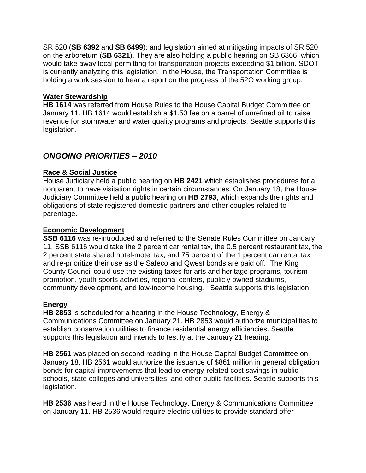SR 520 (**SB 6392** and **SB 6499**); and legislation aimed at mitigating impacts of SR 520 on the arboretum (**SB 6321**). They are also holding a public hearing on SB 6366, which would take away local permitting for transportation projects exceeding \$1 billion. SDOT is currently analyzing this legislation. In the House, the Transportation Committee is holding a work session to hear a report on the progress of the 52O working group.

### **Water Stewardship**

**HB 1614** was referred from House Rules to the House Capital Budget Committee on January 11. HB 1614 would establish a \$1.50 fee on a barrel of unrefined oil to raise revenue for stormwater and water quality programs and projects. Seattle supports this legislation.

# *ONGOING PRIORITIES – 2010*

### **Race & Social Justice**

House Judiciary held a public hearing on **HB 2421** which establishes procedures for a nonparent to have visitation rights in certain circumstances. On January 18, the House Judiciary Committee held a public hearing on **HB 2793**, which expands the rights and obligations of state registered domestic partners and other couples related to parentage.

### **Economic Development**

**SSB 6116** was re-introduced and referred to the Senate Rules Committee on January 11. SSB 6116 would take the 2 percent car rental tax, the 0.5 percent restaurant tax, the 2 percent state shared hotel-motel tax, and 75 percent of the 1 percent car rental tax and re-prioritize their use as the Safeco and Qwest bonds are paid off. The King County Council could use the existing taxes for arts and heritage programs, tourism promotion, youth sports activities, regional centers, publicly owned stadiums, community development, and low-income housing. Seattle supports this legislation.

### **Energy**

**HB 2853** is scheduled for a hearing in the House Technology, Energy & Communications Committee on January 21. HB 2853 would authorize municipalities to establish conservation utilities to finance residential energy efficiencies. Seattle supports this legislation and intends to testify at the January 21 hearing.

**HB 2561** was placed on second reading in the House Capital Budget Committee on January 18. HB 2561 would authorize the issuance of \$861 million in general obligation bonds for capital improvements that lead to energy-related cost savings in public schools, state colleges and universities, and other public facilities. Seattle supports this legislation.

**HB 2536** was heard in the House Technology, Energy & Communications Committee on January 11. HB 2536 would require electric utilities to provide standard offer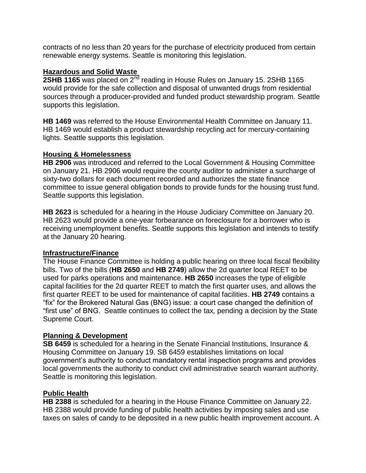contracts of no less than 20 years for the purchase of electricity produced from certain renewable energy systems. Seattle is monitoring this legislation.

# **Hazardous and Solid Waste**

**2SHB 1165** was placed on 2<sup>nd</sup> reading in House Rules on January 15. 2SHB 1165 would provide for the safe collection and disposal of unwanted drugs from residential sources through a producer-provided and funded product stewardship program. Seattle supports this legislation.

**HB 1469** was referred to the House Environmental Health Committee on January 11. HB 1469 would establish a product stewardship recycling act for mercury-containing lights. Seattle supports this legislation.

### **Housing & Homelessness**

**HB 2906** was introduced and referred to the Local Government & Housing Committee on January 21. HB 2906 would require the county auditor to administer a surcharge of sixty-two dollars for each document recorded and authorizes the state finance committee to issue general obligation bonds to provide funds for the housing trust fund. Seattle supports this legislation.

**HB 2623** is scheduled for a hearing in the House Judiciary Committee on January 20. HB 2623 would provide a one-year forbearance on foreclosure for a borrower who is receiving unemployment benefits. Seattle supports this legislation and intends to testify at the January 20 hearing.

### **Infrastructure/Finance**

The House Finance Committee is holding a public hearing on three local fiscal flexibility bills. Two of the bills (**HB 2650** and **HB 2749**) allow the 2d quarter local REET to be used for parks operations and maintenance. **HB 2650** increases the type of eligible capital facilities for the 2d quarter REET to match the first quarter uses, and allows the first quarter REET to be used for maintenance of capital facilities. **HB 2749** contains a "fix" for the Brokered Natural Gas (BNG) issue: a court case changed the definition of "first use" of BNG. Seattle continues to collect the tax, pending a decision by the State Supreme Court.

### **Planning & Development**

**SB 6459** is scheduled for a hearing in the Senate Financial Institutions, Insurance & Housing Committee on January 19. SB 6459 establishes limitations on local government's authority to conduct mandatory rental inspection programs and provides local governments the authority to conduct civil administrative search warrant authority. Seattle is monitoring this legislation.

### **Public Health**

**HB 2388** is scheduled for a hearing in the House Finance Committee on January 22. HB 2388 would provide funding of public health activities by imposing sales and use taxes on sales of candy to be deposited in a new public health improvement account. A